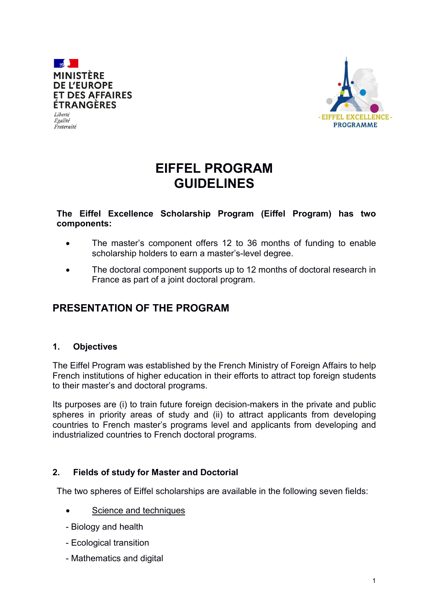



# **EIFFEL PROGRAM GUIDELINES**

#### **The Eiffel Excellence Scholarship Program (Eiffel Program) has two components:**

- The master's component offers 12 to 36 months of funding to enable scholarship holders to earn a master's-level degree.
- The doctoral component supports up to 12 months of doctoral research in France as part of a joint doctoral program.

# **PRESENTATION OF THE PROGRAM**

#### **1. Objectives**

The Eiffel Program was established by the French Ministry of Foreign Affairs to help French institutions of higher education in their efforts to attract top foreign students to their master's and doctoral programs.

Its purposes are (i) to train future foreign decision-makers in the private and public spheres in priority areas of study and (ii) to attract applicants from developing countries to French master's programs level and applicants from developing and industrialized countries to French doctoral programs.

#### **2. Fields of study for Master and Doctorial**

The two spheres of Eiffel scholarships are available in the following seven fields:

- Science and techniques
- Biology and health
- Ecological transition
- Mathematics and digital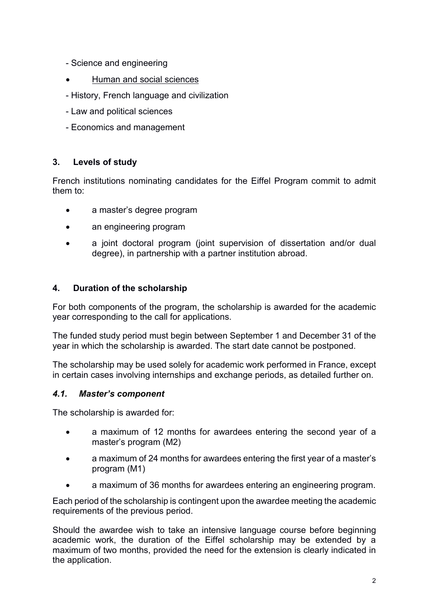- Science and engineering
- Human and social sciences
- History, French language and civilization
- Law and political sciences
- Economics and management

# **3. Levels of study**

French institutions nominating candidates for the Eiffel Program commit to admit them to:

- a master's degree program
- an engineering program
- a joint doctoral program (joint supervision of dissertation and/or dual degree), in partnership with a partner institution abroad.

# **4. Duration of the scholarship**

For both components of the program, the scholarship is awarded for the academic year corresponding to the call for applications.

The funded study period must begin between September 1 and December 31 of the year in which the scholarship is awarded. The start date cannot be postponed.

The scholarship may be used solely for academic work performed in France, except in certain cases involving internships and exchange periods, as detailed further on.

#### *4.1. Master's component*

The scholarship is awarded for:

- a maximum of 12 months for awardees entering the second year of a master's program (M2)
- a maximum of 24 months for awardees entering the first year of a master's program (M1)
- a maximum of 36 months for awardees entering an engineering program.

Each period of the scholarship is contingent upon the awardee meeting the academic requirements of the previous period.

Should the awardee wish to take an intensive language course before beginning academic work, the duration of the Eiffel scholarship may be extended by a maximum of two months, provided the need for the extension is clearly indicated in the application.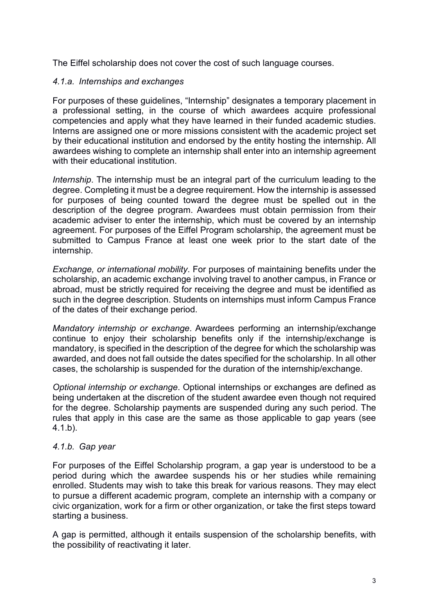The Eiffel scholarship does not cover the cost of such language courses.

#### *4.1.a. Internships and exchanges*

For purposes of these guidelines, "Internship" designates a temporary placement in a professional setting, in the course of which awardees acquire professional competencies and apply what they have learned in their funded academic studies. Interns are assigned one or more missions consistent with the academic project set by their educational institution and endorsed by the entity hosting the internship. All awardees wishing to complete an internship shall enter into an internship agreement with their educational institution.

*Internship*. The internship must be an integral part of the curriculum leading to the degree. Completing it must be a degree requirement. How the internship is assessed for purposes of being counted toward the degree must be spelled out in the description of the degree program. Awardees must obtain permission from their academic adviser to enter the internship, which must be covered by an internship agreement. For purposes of the Eiffel Program scholarship, the agreement must be submitted to Campus France at least one week prior to the start date of the internship.

*Exchange, or international mobility*. For purposes of maintaining benefits under the scholarship, an academic exchange involving travel to another campus, in France or abroad, must be strictly required for receiving the degree and must be identified as such in the degree description. Students on internships must inform Campus France of the dates of their exchange period.

*Mandatory internship or exchange*. Awardees performing an internship/exchange continue to enjoy their scholarship benefits only if the internship/exchange is mandatory, is specified in the description of the degree for which the scholarship was awarded, and does not fall outside the dates specified for the scholarship. In all other cases, the scholarship is suspended for the duration of the internship/exchange.

*Optional internship or exchange*. Optional internships or exchanges are defined as being undertaken at the discretion of the student awardee even though not required for the degree. Scholarship payments are suspended during any such period. The rules that apply in this case are the same as those applicable to gap years (see 4.1.b).

#### *4.1.b. Gap year*

For purposes of the Eiffel Scholarship program, a gap year is understood to be a period during which the awardee suspends his or her studies while remaining enrolled. Students may wish to take this break for various reasons. They may elect to pursue a different academic program, complete an internship with a company or civic organization, work for a firm or other organization, or take the first steps toward starting a business.

A gap is permitted, although it entails suspension of the scholarship benefits, with the possibility of reactivating it later.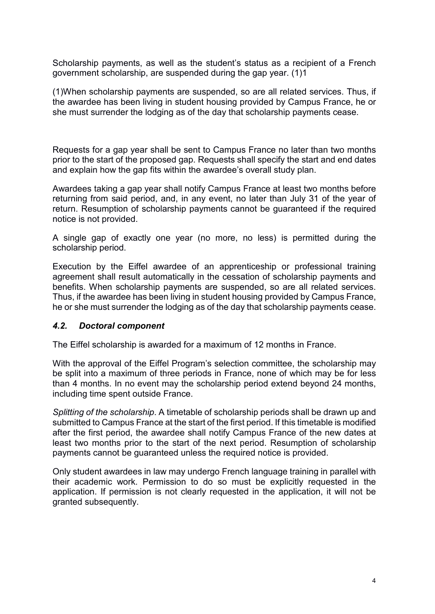Scholarship payments, as well as the student's status as a recipient of a French government scholarship, are suspended during the gap year. (1)1

(1)When scholarship payments are suspended, so are all related services. Thus, if the awardee has been living in student housing provided by Campus France, he or she must surrender the lodging as of the day that scholarship payments cease.

Requests for a gap year shall be sent to Campus France no later than two months prior to the start of the proposed gap. Requests shall specify the start and end dates and explain how the gap fits within the awardee's overall study plan.

Awardees taking a gap year shall notify Campus France at least two months before returning from said period, and, in any event, no later than July 31 of the year of return. Resumption of scholarship payments cannot be guaranteed if the required notice is not provided.

A single gap of exactly one year (no more, no less) is permitted during the scholarship period.

Execution by the Eiffel awardee of an apprenticeship or professional training agreement shall result automatically in the cessation of scholarship payments and benefits. When scholarship payments are suspended, so are all related services. Thus, if the awardee has been living in student housing provided by Campus France, he or she must surrender the lodging as of the day that scholarship payments cease.

#### *4.2. Doctoral component*

The Eiffel scholarship is awarded for a maximum of 12 months in France.

With the approval of the Eiffel Program's selection committee, the scholarship may be split into a maximum of three periods in France, none of which may be for less than 4 months. In no event may the scholarship period extend beyond 24 months, including time spent outside France.

*Splitting of the scholarship*. A timetable of scholarship periods shall be drawn up and submitted to Campus France at the start of the first period. If this timetable is modified after the first period, the awardee shall notify Campus France of the new dates at least two months prior to the start of the next period. Resumption of scholarship payments cannot be guaranteed unless the required notice is provided.

Only student awardees in law may undergo French language training in parallel with their academic work. Permission to do so must be explicitly requested in the application. If permission is not clearly requested in the application, it will not be granted subsequently.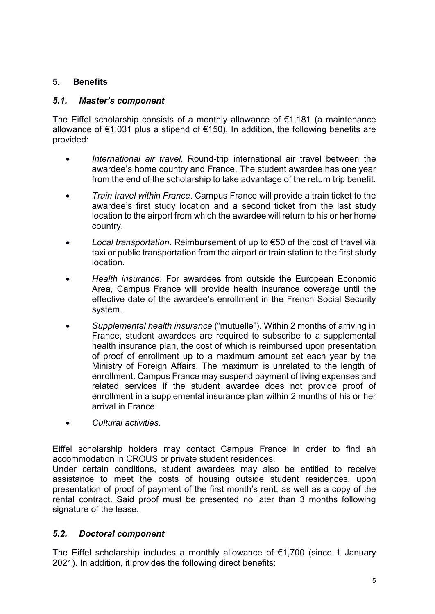# **5. Benefits**

#### *5.1. Master's component*

The Eiffel scholarship consists of a monthly allowance of  $\epsilon$ 1,181 (a maintenance allowance of €1,031 plus a stipend of €150). In addition, the following benefits are provided:

- *International air travel*. Round-trip international air travel between the awardee's home country and France. The student awardee has one year from the end of the scholarship to take advantage of the return trip benefit.
- *Train travel within France*. Campus France will provide a train ticket to the awardee's first study location and a second ticket from the last study location to the airport from which the awardee will return to his or her home country.
- *Local transportation*. Reimbursement of up to €50 of the cost of travel via taxi or public transportation from the airport or train station to the first study location.
- *Health insurance*. For awardees from outside the European Economic Area, Campus France will provide health insurance coverage until the effective date of the awardee's enrollment in the French Social Security system.
- *Supplemental health insurance* ("mutuelle"). Within 2 months of arriving in France, student awardees are required to subscribe to a supplemental health insurance plan, the cost of which is reimbursed upon presentation of proof of enrollment up to a maximum amount set each year by the Ministry of Foreign Affairs. The maximum is unrelated to the length of enrollment. Campus France may suspend payment of living expenses and related services if the student awardee does not provide proof of enrollment in a supplemental insurance plan within 2 months of his or her arrival in France.
- *Cultural activities*.

Eiffel scholarship holders may contact Campus France in order to find an accommodation in CROUS or private student residences.

Under certain conditions, student awardees may also be entitled to receive assistance to meet the costs of housing outside student residences, upon presentation of proof of payment of the first month's rent, as well as a copy of the rental contract. Said proof must be presented no later than 3 months following signature of the lease.

#### *5.2. Doctoral component*

The Eiffel scholarship includes a monthly allowance of  $\epsilon$ 1,700 (since 1 January 2021). In addition, it provides the following direct benefits: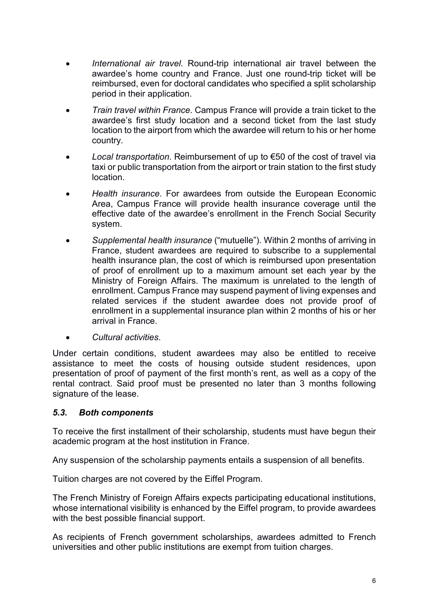- *International air travel*. Round-trip international air travel between the awardee's home country and France. Just one round-trip ticket will be reimbursed, even for doctoral candidates who specified a split scholarship period in their application.
- *Train travel within France*. Campus France will provide a train ticket to the awardee's first study location and a second ticket from the last study location to the airport from which the awardee will return to his or her home country.
- *Local transportation*. Reimbursement of up to €50 of the cost of travel via taxi or public transportation from the airport or train station to the first study location.
- *Health insurance*. For awardees from outside the European Economic Area, Campus France will provide health insurance coverage until the effective date of the awardee's enrollment in the French Social Security system.
- *Supplemental health insurance* ("mutuelle"). Within 2 months of arriving in France, student awardees are required to subscribe to a supplemental health insurance plan, the cost of which is reimbursed upon presentation of proof of enrollment up to a maximum amount set each year by the Ministry of Foreign Affairs. The maximum is unrelated to the length of enrollment. Campus France may suspend payment of living expenses and related services if the student awardee does not provide proof of enrollment in a supplemental insurance plan within 2 months of his or her arrival in France.
- *Cultural activities*.

Under certain conditions, student awardees may also be entitled to receive assistance to meet the costs of housing outside student residences, upon presentation of proof of payment of the first month's rent, as well as a copy of the rental contract. Said proof must be presented no later than 3 months following signature of the lease.

#### *5.3. Both components*

To receive the first installment of their scholarship, students must have begun their academic program at the host institution in France.

Any suspension of the scholarship payments entails a suspension of all benefits.

Tuition charges are not covered by the Eiffel Program.

The French Ministry of Foreign Affairs expects participating educational institutions, whose international visibility is enhanced by the Eiffel program, to provide awardees with the best possible financial support.

As recipients of French government scholarships, awardees admitted to French universities and other public institutions are exempt from tuition charges.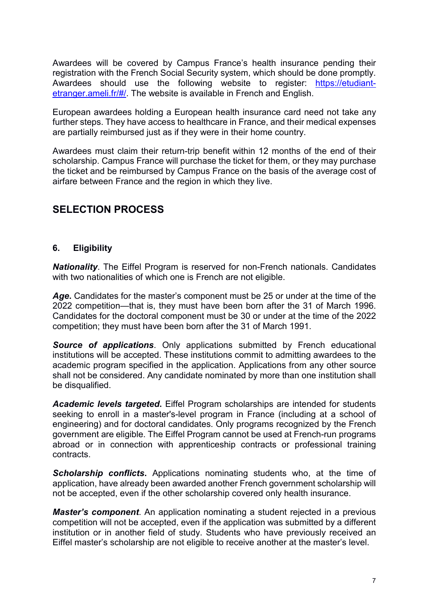Awardees will be covered by Campus France's health insurance pending their registration with the French Social Security system, which should be done promptly. Awardees should use the following website to register: [https://etudiant](https://etudiant-etranger.ameli.fr/%23/)[etranger.ameli.fr/#/.](https://etudiant-etranger.ameli.fr/%23/) The website is available in French and English.

European awardees holding a European health insurance card need not take any further steps. They have access to healthcare in France, and their medical expenses are partially reimbursed just as if they were in their home country.

Awardees must claim their return-trip benefit within 12 months of the end of their scholarship. Campus France will purchase the ticket for them, or they may purchase the ticket and be reimbursed by Campus France on the basis of the average cost of airfare between France and the region in which they live.

# **SELECTION PROCESS**

#### **6. Eligibility**

*Nationality*. The Eiffel Program is reserved for non-French nationals. Candidates with two nationalities of which one is French are not eligible.

*Age***.** Candidates for the master's component must be 25 or under at the time of the 2022 competition—that is, they must have been born after the 31 of March 1996. Candidates for the doctoral component must be 30 or under at the time of the 2022 competition; they must have been born after the 31 of March 1991.

**Source of applications**. Only applications submitted by French educational institutions will be accepted. These institutions commit to admitting awardees to the academic program specified in the application. Applications from any other source shall not be considered. Any candidate nominated by more than one institution shall be disqualified.

*Academic levels targeted***.** Eiffel Program scholarships are intended for students seeking to enroll in a master's-level program in France (including at a school of engineering) and for doctoral candidates. Only programs recognized by the French government are eligible. The Eiffel Program cannot be used at French-run programs abroad or in connection with apprenticeship contracts or professional training contracts.

*Scholarship conflicts***.** Applications nominating students who, at the time of application, have already been awarded another French government scholarship will not be accepted, even if the other scholarship covered only health insurance.

*Master's component*. An application nominating a student rejected in a previous competition will not be accepted, even if the application was submitted by a different institution or in another field of study. Students who have previously received an Eiffel master's scholarship are not eligible to receive another at the master's level.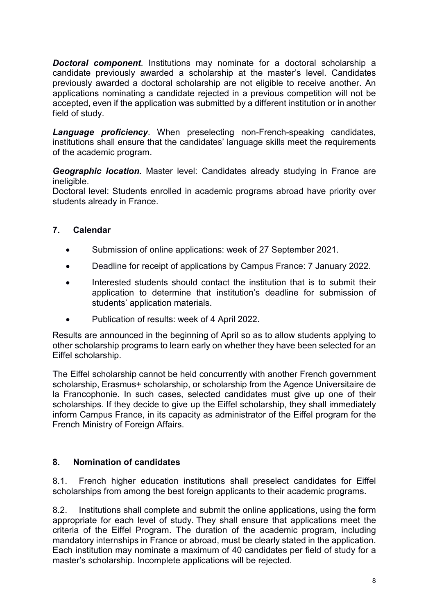*Doctoral component*. Institutions may nominate for a doctoral scholarship a candidate previously awarded a scholarship at the master's level. Candidates previously awarded a doctoral scholarship are not eligible to receive another. An applications nominating a candidate rejected in a previous competition will not be accepted, even if the application was submitted by a different institution or in another field of study.

*Language proficiency*. When preselecting non-French-speaking candidates, institutions shall ensure that the candidates' language skills meet the requirements of the academic program.

*Geographic location.* Master level: Candidates already studying in France are ineligible.

Doctoral level: Students enrolled in academic programs abroad have priority over students already in France.

#### **7. Calendar**

- Submission of online applications: week of 27 September 2021.
- Deadline for receipt of applications by Campus France: 7 January 2022.
- Interested students should contact the institution that is to submit their application to determine that institution's deadline for submission of students' application materials.
- Publication of results: week of 4 April 2022.

Results are announced in the beginning of April so as to allow students applying to other scholarship programs to learn early on whether they have been selected for an Eiffel scholarship.

The Eiffel scholarship cannot be held concurrently with another French government scholarship, Erasmus+ scholarship, or scholarship from the Agence Universitaire de la Francophonie. In such cases, selected candidates must give up one of their scholarships. If they decide to give up the Eiffel scholarship, they shall immediately inform Campus France, in its capacity as administrator of the Eiffel program for the French Ministry of Foreign Affairs.

#### **8. Nomination of candidates**

8.1. French higher education institutions shall preselect candidates for Eiffel scholarships from among the best foreign applicants to their academic programs.

8.2. Institutions shall complete and submit the online applications, using the form appropriate for each level of study. They shall ensure that applications meet the criteria of the Eiffel Program. The duration of the academic program, including mandatory internships in France or abroad, must be clearly stated in the application. Each institution may nominate a maximum of 40 candidates per field of study for a master's scholarship. Incomplete applications will be rejected.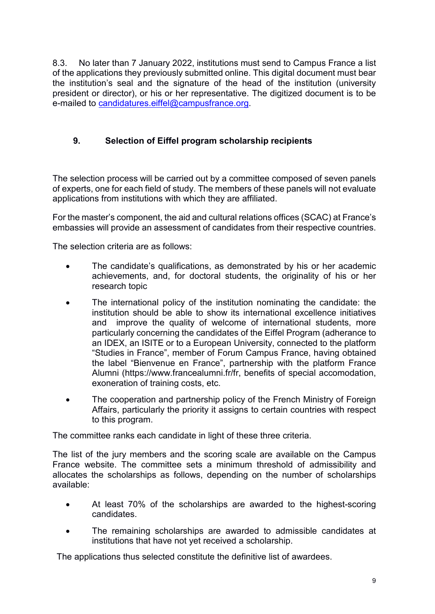8.3. No later than 7 January 2022, institutions must send to Campus France a list of the applications they previously submitted online. This digital document must bear the institution's seal and the signature of the head of the institution (university president or director), or his or her representative. The digitized document is to be e-mailed to [candidatures.eiffel@campusfrance.org.](mailto:candidatures.eiffel@campusfrance.org)

### **9. Selection of Eiffel program scholarship recipients**

The selection process will be carried out by a committee composed of seven panels of experts, one for each field of study. The members of these panels will not evaluate applications from institutions with which they are affiliated.

For the master's component, the aid and cultural relations offices (SCAC) at France's embassies will provide an assessment of candidates from their respective countries.

The selection criteria are as follows:

- The candidate's qualifications, as demonstrated by his or her academic achievements, and, for doctoral students, the originality of his or her research topic
- The international policy of the institution nominating the candidate: the institution should be able to show its international excellence initiatives and improve the quality of welcome of international students, more particularly concerning the candidates of the Eiffel Program (adherance to an IDEX, an ISITE or to a European University, connected to the platform "Studies in France", member of Forum Campus France, having obtained the label "Bienvenue en France", partnership with the platform France Alumni (https://www.francealumni.fr/fr, benefits of special accomodation, exoneration of training costs, etc.
- The cooperation and partnership policy of the French Ministry of Foreign Affairs, particularly the priority it assigns to certain countries with respect to this program.

The committee ranks each candidate in light of these three criteria.

The list of the jury members and the scoring scale are available on the Campus France website. The committee sets a minimum threshold of admissibility and allocates the scholarships as follows, depending on the number of scholarships available:

- At least 70% of the scholarships are awarded to the highest-scoring candidates.
- The remaining scholarships are awarded to admissible candidates at institutions that have not yet received a scholarship.

The applications thus selected constitute the definitive list of awardees.